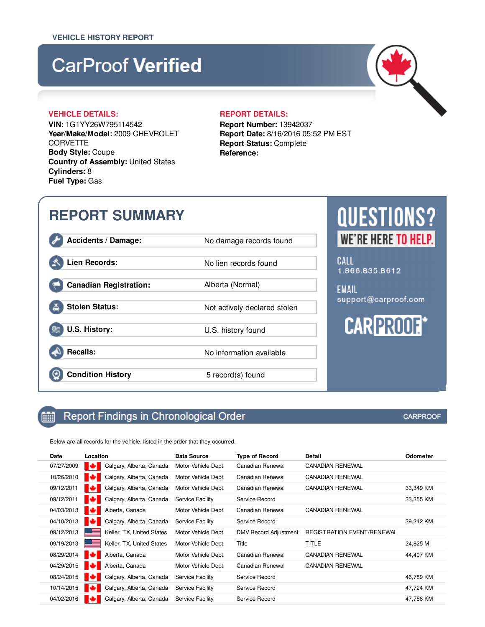# **CarProof Verified**

### **VEHICLE DETAILS: REPORT DETAILS:**

**VIN:** 1G1YY26W795114542 **Year/Make/Model:** 2009 CHEVROLET **CORVETTE Body Style:** Coupe **Country of Assembly:** United States **Cylinders:** 8 **Fuel Type:** Gas

**Report Number:** 13942037 **Report Date:** 8/16/2016 05:52 PM EST **Report Status:** Complete **Reference:**

## **REPORT SUMMARY**

Accidents / Damage: No damage records found

**Lien Records:** No lien records found

**Canadian Registration:** Alberta (Normal)

**Stolen Status:** Not actively declared stolen

**U.S. History:** U.S. history found

**Recalls:** No information available

鯆

 $\circledast$ 

## **Condition History** 5 record(s) found

## **CARPROOF**

Below are all records for the vehicle, listed in the order that they occurred.

Report Findings in Chronological Order

| Date       | Location                       | Data Source         | <b>Type of Record</b>        | Detail                            | Odometer  |
|------------|--------------------------------|---------------------|------------------------------|-----------------------------------|-----------|
| 07/27/2009 | м<br>Calgary, Alberta, Canada  | Motor Vehicle Dept. | Canadian Renewal             | <b>CANADIAN RENEWAL</b>           |           |
| 10/26/2010 | ю<br>Calgary, Alberta, Canada  | Motor Vehicle Dept. | Canadian Renewal             | <b>CANADIAN RENEWAL</b>           |           |
| 09/12/2011 | ю<br>Calgary, Alberta, Canada  | Motor Vehicle Dept. | Canadian Renewal             | <b>CANADIAN RENEWAL</b>           | 33,349 KM |
| 09/12/2011 | ю<br>Calgary, Alberta, Canada  | Service Facility    | Service Record               |                                   | 33,355 KM |
| 04/03/2013 | Alberta, Canada<br>æз          | Motor Vehicle Dept. | Canadian Renewal             | <b>CANADIAN RENEWAL</b>           |           |
| 04/10/2013 | ю<br>Calgary, Alberta, Canada  | Service Facility    | Service Record               |                                   | 39,212 KM |
| 09/12/2013 | Keller, TX, United States      | Motor Vehicle Dept. | <b>DMV Record Adjustment</b> | <b>REGISTRATION EVENT/RENEWAL</b> |           |
| 09/19/2013 | Keller, TX, United States      | Motor Vehicle Dept. | Title                        | TITLE                             | 24,825 MI |
| 08/29/2014 | ю<br>Alberta, Canada           | Motor Vehicle Dept. | Canadian Renewal             | <b>CANADIAN RENEWAL</b>           | 44,407 KM |
| 04/29/2015 | ю<br>Alberta, Canada           | Motor Vehicle Dept. | Canadian Renewal             | <b>CANADIAN RENEWAL</b>           |           |
| 08/24/2015 | ю<br>Calgary, Alberta, Canada  | Service Facility    | Service Record               |                                   | 46,789 KM |
| 10/14/2015 | ю<br>Calgary, Alberta, Canada  | Service Facility    | Service Record               |                                   | 47,724 KM |
| 04/02/2016 | Calgary, Alberta, Canada<br>юa | Service Facility    | Service Record               |                                   | 47,758 KM |



CALL 1.866.835.8612

**EMAIL** support@carproof.com

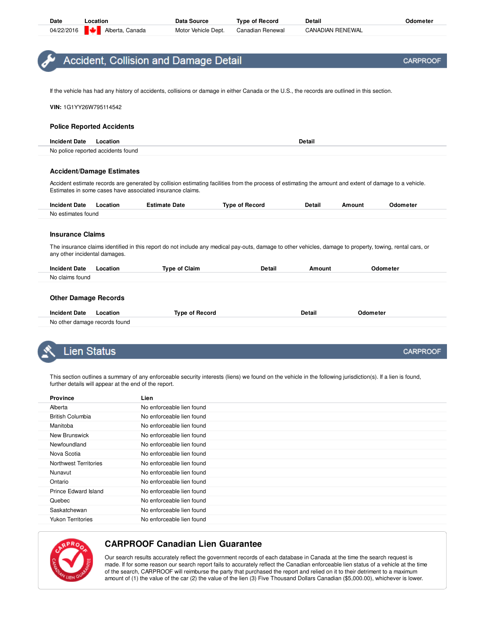| Date | Location                            | Data Source         | <b>Type of Record</b> | <b>Detail</b>           | <b>Odometer</b> |
|------|-------------------------------------|---------------------|-----------------------|-------------------------|-----------------|
|      | 04/22/2016 <b>W</b> Alberta, Canada | Motor Vehicle Dept. | Canadian Renewal      | <b>CANADIAN RENEWAL</b> |                 |

## **Accident, Collision and Damage Detail**

If the vehicle has had any history of accidents, collisions or damage in either Canada or the U.S., the records are outlined in this section.

**VIN:** 1G1YY26W795114542

#### **Police Reported Accidents**

| <b>Incident Date</b> | Location                           | Detail |
|----------------------|------------------------------------|--------|
|                      | No police reported accidents found |        |

#### **Accident/Damage Estimates**

Accident estimate records are generated by collision estimating facilities from the process of estimating the amount and extent of damage to a vehicle. Estimates in some cases have associated insurance claims.

| <b>Incident Date</b> | -ocation | <b>Estimate Date</b> | <b>Type of Record</b> | Detail | Amount | Odometer |
|----------------------|----------|----------------------|-----------------------|--------|--------|----------|
| No estimates found   |          |                      |                       |        |        |          |

#### **Insurance Claims**

The insurance claims identified in this report do not include any medical pay-outs, damage to other vehicles, damage to property, towing, rental cars, or any other incidental damages.

| <b>Incident Date</b> | .ocation | Tvpe of Claim | Detail | <b>Amount</b> | <b>Odometer</b> |
|----------------------|----------|---------------|--------|---------------|-----------------|
| No claims found      |          |               |        |               |                 |
|                      |          |               |        |               |                 |

#### **Other Damage Records**

| Date<br>Incident<br>ocation<br>.      | .<br>- Evr<br>ωT<br>. | Detail | . |
|---------------------------------------|-----------------------|--------|---|
| No other<br>damage records<br>: found |                       |        |   |

## Lien Status

This section outlines a summary of any enforceable security interests (liens) we found on the vehicle in the following jurisdiction(s). If a lien is found, further details will appear at the end of the report.

| No enforceable lien found<br>Alberta<br><b>British Columbia</b><br>No enforceable lien found<br>No enforceable lien found<br>Manitoba<br>New Brunswick<br>No enforceable lien found<br>No enforceable lien found<br>Newfoundland<br>Nova Scotia<br>No enforceable lien found<br>Northwest Territories<br>No enforceable lien found<br>No enforceable lien found<br>Nunavut<br>No enforceable lien found<br>Ontario<br>Prince Edward Island<br>No enforceable lien found<br>No enforceable lien found<br>Quebec<br>No enforceable lien found<br>Saskatchewan | <b>Province</b>          | Lien                      |
|-------------------------------------------------------------------------------------------------------------------------------------------------------------------------------------------------------------------------------------------------------------------------------------------------------------------------------------------------------------------------------------------------------------------------------------------------------------------------------------------------------------------------------------------------------------|--------------------------|---------------------------|
|                                                                                                                                                                                                                                                                                                                                                                                                                                                                                                                                                             |                          |                           |
|                                                                                                                                                                                                                                                                                                                                                                                                                                                                                                                                                             |                          |                           |
|                                                                                                                                                                                                                                                                                                                                                                                                                                                                                                                                                             |                          |                           |
|                                                                                                                                                                                                                                                                                                                                                                                                                                                                                                                                                             |                          |                           |
|                                                                                                                                                                                                                                                                                                                                                                                                                                                                                                                                                             |                          |                           |
|                                                                                                                                                                                                                                                                                                                                                                                                                                                                                                                                                             |                          |                           |
|                                                                                                                                                                                                                                                                                                                                                                                                                                                                                                                                                             |                          |                           |
|                                                                                                                                                                                                                                                                                                                                                                                                                                                                                                                                                             |                          |                           |
|                                                                                                                                                                                                                                                                                                                                                                                                                                                                                                                                                             |                          |                           |
|                                                                                                                                                                                                                                                                                                                                                                                                                                                                                                                                                             |                          |                           |
|                                                                                                                                                                                                                                                                                                                                                                                                                                                                                                                                                             |                          |                           |
|                                                                                                                                                                                                                                                                                                                                                                                                                                                                                                                                                             |                          |                           |
|                                                                                                                                                                                                                                                                                                                                                                                                                                                                                                                                                             | <b>Yukon Territories</b> | No enforceable lien found |



## **CARPROOF Canadian Lien Guarantee**

Our search results accurately reflect the government records of each database in Canada at the time the search request is made. If for some reason our search report fails to accurately reflect the Canadian enforceable lien status of a vehicle at the time of the search, CARPROOF will reimburse the party that purchased the report and relied on it to their detriment to a maximum amount of (1) the value of the car (2) the value of the lien (3) Five Thousand Dollars Canadian (\$5,000.00), whichever is lower.

**CARPROOF**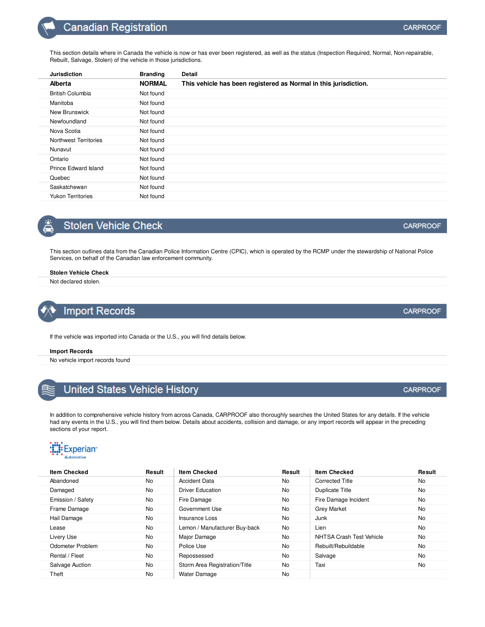## **Canadian Registration**

| <b>Jurisdiction</b>      | <b>Branding</b> | <b>Detail</b>                                                    |
|--------------------------|-----------------|------------------------------------------------------------------|
| <b>Alberta</b>           | <b>NORMAL</b>   | This vehicle has been registered as Normal in this jurisdiction. |
| <b>British Columbia</b>  | Not found       |                                                                  |
| Manitoba                 | Not found       |                                                                  |
| New Brunswick            | Not found       |                                                                  |
| Newfoundland             | Not found       |                                                                  |
| Nova Scotia              | Not found       |                                                                  |
| Northwest Territories    | Not found       |                                                                  |
| Nunavut                  | Not found       |                                                                  |
| Ontario                  | Not found       |                                                                  |
| Prince Edward Island     | Not found       |                                                                  |
| Quebec                   | Not found       |                                                                  |
| Saskatchewan             | Not found       |                                                                  |
| <b>Yukon Territories</b> | Not found       |                                                                  |

## **Stolen Vehicle Check**

This section outlines data from the Canadian Police Information Centre (CPIC), which is operated by the RCMP under the stewardship of National Police Services, on behalf of the Canadian law enforcement community.

### **Stolen Vehicle Check**

Not declared stolen.

## **Import Records**

If the vehicle was imported into Canada or the U.S., you will find details below.

#### **Import Records**

No vehicle import records found

| United States Vehicle History |  |  |
|-------------------------------|--|--|
|                               |  |  |

In addition to comprehensive vehicle history from across Canada, CARPROOF also thoroughly searches the United States for any details. If the vehicle had any events in the U.S., you will find them below. Details about accidents, collision and damage, or any import records will appear in the preceding sections of your report.



| <b>Item Checked</b> | Result | <b>Item Checked</b>           | Result    | <b>Item Checked</b>      | Result    |
|---------------------|--------|-------------------------------|-----------|--------------------------|-----------|
| Abandoned           | No     | <b>Accident Data</b>          | No.       | <b>Corrected Title</b>   | No.       |
| Damaged             | No     | <b>Driver Education</b>       | <b>No</b> | Duplicate Title          | <b>No</b> |
| Emission / Safety   | No     | Fire Damage                   | <b>No</b> | Fire Damage Incident     | <b>No</b> |
| Frame Damage        | No     | Government Use                | <b>No</b> | <b>Grey Market</b>       | No.       |
| Hail Damage         | No     | Insurance Loss                | <b>No</b> | Junk                     | <b>No</b> |
| Lease               | No     | Lemon / Manufacturer Buy-back | <b>No</b> | Lien                     | <b>No</b> |
| Livery Use          | No     | Major Damage                  | No        | NHTSA Crash Test Vehicle | No        |
| Odometer Problem    | No     | Police Use                    | <b>No</b> | Rebuilt/Rebuildable      | <b>No</b> |
| Rental / Fleet      | No     | Repossessed                   | <b>No</b> | Salvage                  | <b>No</b> |
| Salvage Auction     | No     | Storm Area Registration/Title | <b>No</b> | Taxi                     | <b>No</b> |
| Theft               | No     | <b>Water Damage</b>           | <b>No</b> |                          |           |

### **CARPROOF**

**CARPROOF** 

**CARPROOF**